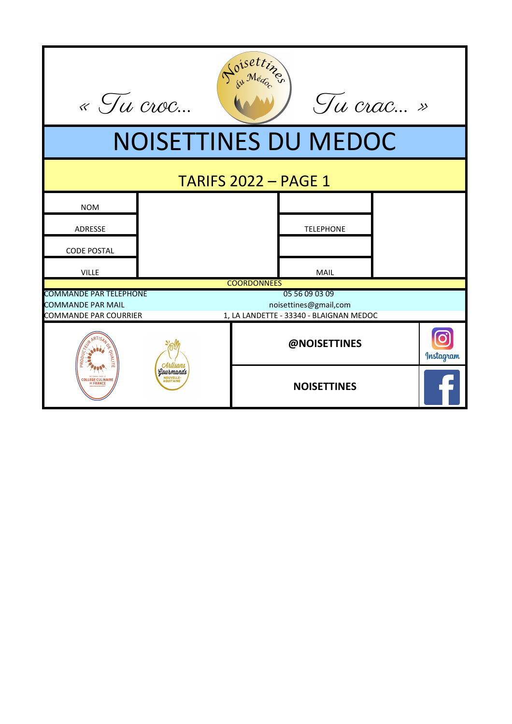